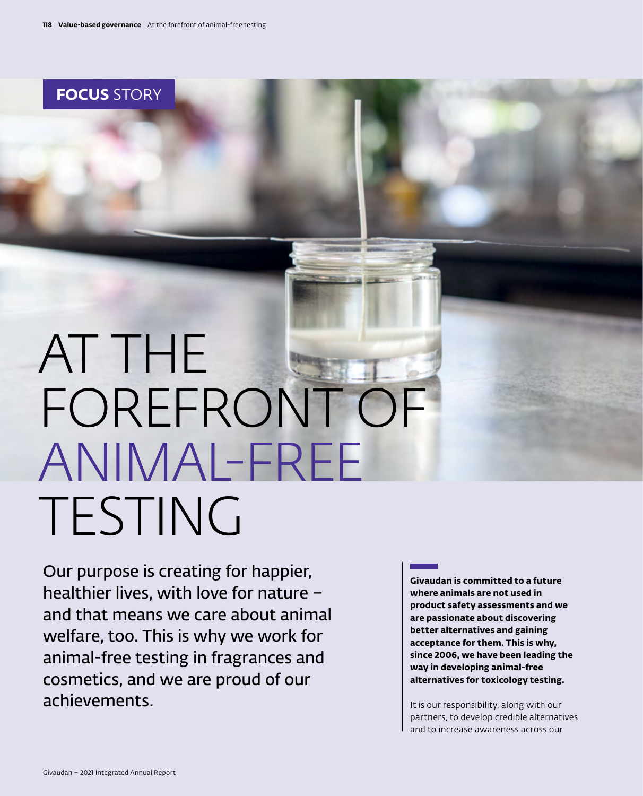**FOCUS** STORY

## AT THE FOREFRONT OF ANIMAL-FREE TESTING

Our purpose is creating for happier, healthier lives, with love for nature – and that means we care about animal welfare, too. This is why we work for animal-free testing in fragrances and cosmetics, and we are proud of our achievements.

**Givaudan is committed to a future where animals are not used in product safety assessments and we are passionate about discovering better alternatives and gaining acceptance for them. This is why, since 2006, we have been leading the way in developing animal-free alternatives for toxicology testing.** 

It is our responsibility, along with our partners, to develop credible alternatives and to increase awareness across our